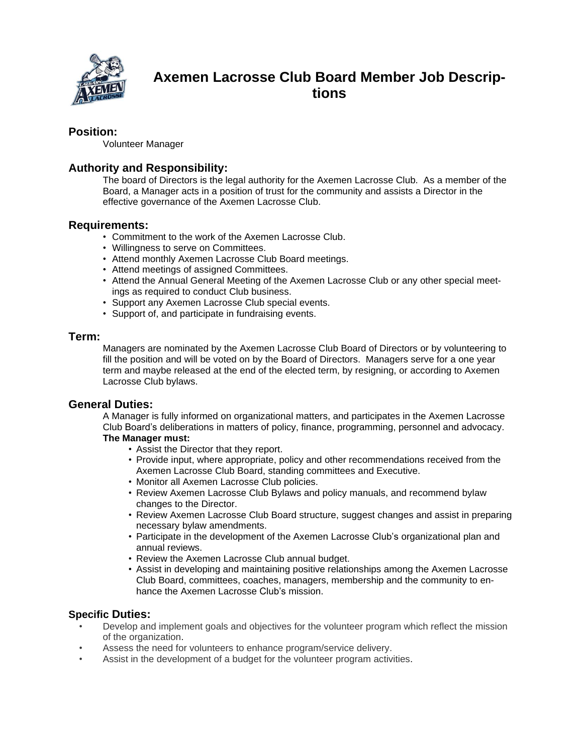

# **Axemen Lacrosse Club Board Member Job Descriptions**

## **Position:**

Volunteer Manager

## **Authority and Responsibility:**

The board of Directors is the legal authority for the Axemen Lacrosse Club. As a member of the Board, a Manager acts in a position of trust for the community and assists a Director in the effective governance of the Axemen Lacrosse Club.

#### **Requirements:**

- Commitment to the work of the Axemen Lacrosse Club.
- Willingness to serve on Committees.
- Attend monthly Axemen Lacrosse Club Board meetings.
- Attend meetings of assigned Committees.
- Attend the Annual General Meeting of the Axemen Lacrosse Club or any other special meetings as required to conduct Club business.
- Support any Axemen Lacrosse Club special events.
- Support of, and participate in fundraising events.

#### **Term:**

Managers are nominated by the Axemen Lacrosse Club Board of Directors or by volunteering to fill the position and will be voted on by the Board of Directors. Managers serve for a one year term and maybe released at the end of the elected term, by resigning, or according to Axemen Lacrosse Club bylaws.

#### **General Duties:**

A Manager is fully informed on organizational matters, and participates in the Axemen Lacrosse Club Board's deliberations in matters of policy, finance, programming, personnel and advocacy. **The Manager must:**

- Assist the Director that they report.
- Provide input, where appropriate, policy and other recommendations received from the Axemen Lacrosse Club Board, standing committees and Executive.
- Monitor all Axemen Lacrosse Club policies.
- Review Axemen Lacrosse Club Bylaws and policy manuals, and recommend bylaw changes to the Director.
- Review Axemen Lacrosse Club Board structure, suggest changes and assist in preparing necessary bylaw amendments.
- Participate in the development of the Axemen Lacrosse Club's organizational plan and annual reviews.
- Review the Axemen Lacrosse Club annual budget.
- Assist in developing and maintaining positive relationships among the Axemen Lacrosse Club Board, committees, coaches, managers, membership and the community to enhance the Axemen Lacrosse Club's mission.

#### **Specific Duties:**

- Develop and implement goals and objectives for the volunteer program which reflect the mission of the organization.
- Assess the need for volunteers to enhance program/service delivery.
- Assist in the development of a budget for the volunteer program activities.